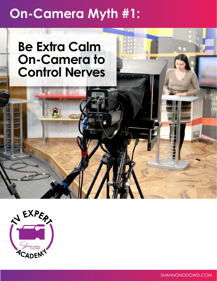## **On-Camera Myth #1:**

## **Be Extra Calm On-Camera to Control Nerves**



SHANNONODOWD.COM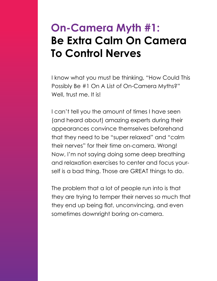## **On-Camera Myth #1: Be Extra Calm On Camera To Control Nerves**

I know what you must be thinking, "How Could This Possibly Be #1 On A List of On-Camera Myths?" Well, trust me. It is!

I can't tell you the amount of times I have seen (and heard about) amazing experts during their appearances convince themselves beforehand that they need to be "super relaxed" and "calm their nerves" for their time on-camera. Wrong! Now, I'm not saying doing some deep breathing and relaxation exercises to center and focus yourself is a bad thing. Those are GREAT things to do.

The problem that a lot of people run into is that they are trying to temper their nerves so much that they end up being flat, unconvincing, and even sometimes downright boring on-camera.